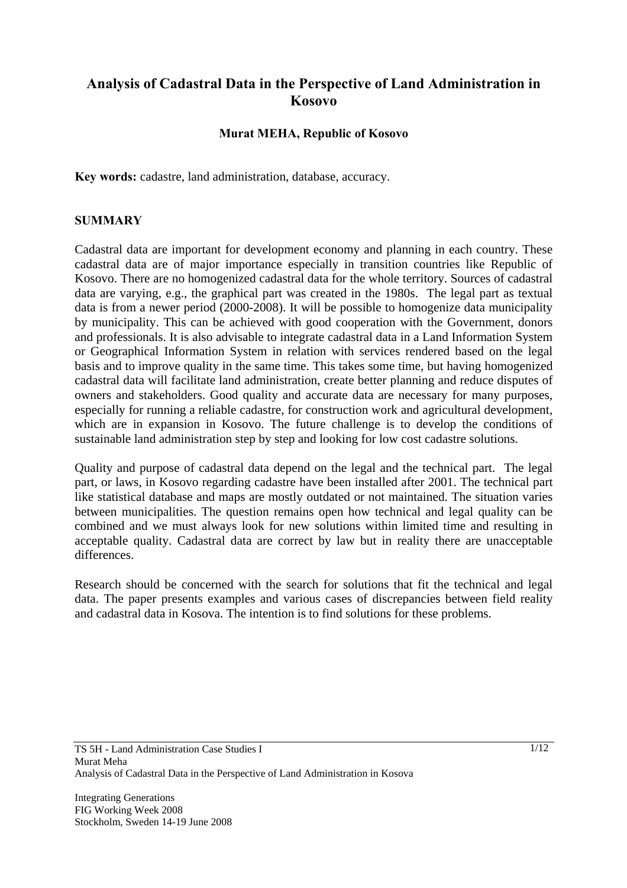# **Analysis of Cadastral Data in the Perspective of Land Administration in Kosovo**

### **Murat MEHA, Republic of Kosovo**

**Key words:** cadastre, land administration, database, accuracy.

### **SUMMARY**

Cadastral data are important for development economy and planning in each country. These cadastral data are of major importance especially in transition countries like Republic of Kosovo. There are no homogenized cadastral data for the whole territory. Sources of cadastral data are varying, e.g., the graphical part was created in the 1980s. The legal part as textual data is from a newer period (2000-2008). It will be possible to homogenize data municipality by municipality. This can be achieved with good cooperation with the Government, donors and professionals. It is also advisable to integrate cadastral data in a Land Information System or Geographical Information System in relation with services rendered based on the legal basis and to improve quality in the same time. This takes some time, but having homogenized cadastral data will facilitate land administration, create better planning and reduce disputes of owners and stakeholders. Good quality and accurate data are necessary for many purposes, especially for running a reliable cadastre, for construction work and agricultural development, which are in expansion in Kosovo. The future challenge is to develop the conditions of sustainable land administration step by step and looking for low cost cadastre solutions.

Quality and purpose of cadastral data depend on the legal and the technical part. The legal part, or laws, in Kosovo regarding cadastre have been installed after 2001. The technical part like statistical database and maps are mostly outdated or not maintained. The situation varies between municipalities. The question remains open how technical and legal quality can be combined and we must always look for new solutions within limited time and resulting in acceptable quality. Cadastral data are correct by law but in reality there are unacceptable differences.

Research should be concerned with the search for solutions that fit the technical and legal data. The paper presents examples and various cases of discrepancies between field reality and cadastral data in Kosova. The intention is to find solutions for these problems.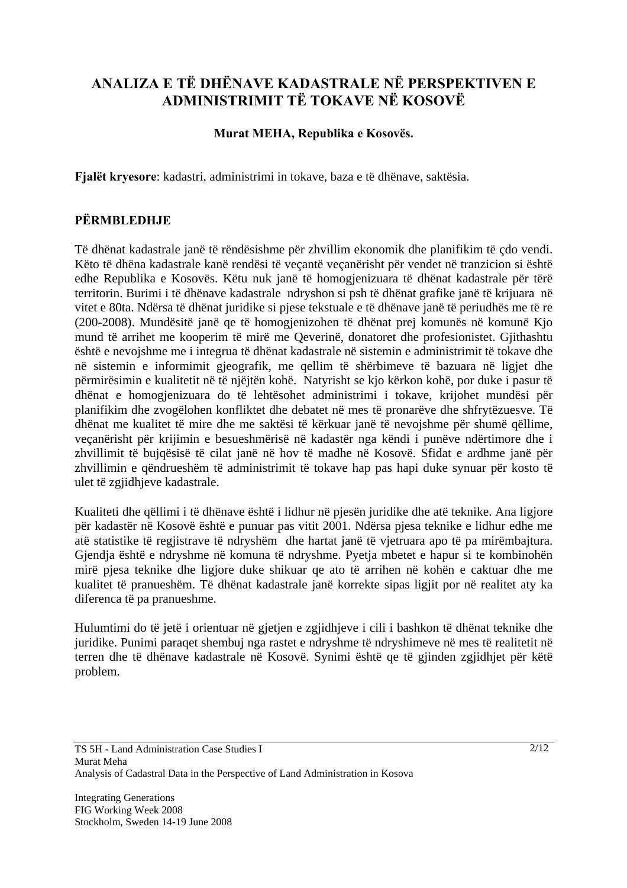# **ANALIZA E TË DHËNAVE KADASTRALE NË PERSPEKTIVEN E ADMINISTRIMIT TË TOKAVE NË KOSOVË**

### **Murat MEHA, Republika e Kosovës.**

**Fjalët kryesore**: kadastri, administrimi in tokave, baza e të dhënave, saktësia.

## **PËRMBLEDHJE**

Të dhënat kadastrale janë të rëndësishme për zhvillim ekonomik dhe planifikim të çdo vendi. Këto të dhëna kadastrale kanë rendësi të veçantë veçanërisht për vendet në tranzicion si është edhe Republika e Kosovës. Këtu nuk janë të homogjenizuara të dhënat kadastrale për tërë territorin. Burimi i të dhënave kadastrale ndryshon si psh të dhënat grafike janë të krijuara në vitet e 80ta. Ndërsa të dhënat juridike si pjese tekstuale e të dhënave janë të periudhës me të re (200-2008). Mundësitë janë qe të homogjenizohen të dhënat prej komunës në komunë Kjo mund të arrihet me kooperim të mirë me Qeverinë, donatoret dhe profesionistet. Gjithashtu është e nevojshme me i integrua të dhënat kadastrale në sistemin e administrimit të tokave dhe në sistemin e informimit gjeografik, me qellim të shërbimeve të bazuara në ligjet dhe përmirësimin e kualitetit në të njëjtën kohë. Natyrisht se kjo kërkon kohë, por duke i pasur të dhënat e homogjenizuara do të lehtësohet administrimi i tokave, krijohet mundësi për planifikim dhe zvogëlohen konfliktet dhe debatet në mes të pronarëve dhe shfrytëzuesve. Të dhënat me kualitet të mire dhe me saktësi të kërkuar janë të nevojshme për shumë qëllime, veçanërisht për krijimin e besueshmërisë në kadastër nga këndi i punëve ndërtimore dhe i zhvillimit të bujqësisë të cilat janë në hov të madhe në Kosovë. Sfidat e ardhme janë për zhvillimin e qëndrueshëm të administrimit të tokave hap pas hapi duke synuar për kosto të ulet të zgjidhjeve kadastrale.

Kualiteti dhe qëllimi i të dhënave është i lidhur në pjesën juridike dhe atë teknike. Ana ligjore për kadastër në Kosovë është e punuar pas vitit 2001. Ndërsa pjesa teknike e lidhur edhe me atë statistike të regjistrave të ndryshëm dhe hartat janë të vjetruara apo të pa mirëmbajtura. Gjendja është e ndryshme në komuna të ndryshme. Pyetja mbetet e hapur si te kombinohën mirë pjesa teknike dhe ligjore duke shikuar qe ato të arrihen në kohën e caktuar dhe me kualitet të pranueshëm. Të dhënat kadastrale janë korrekte sipas ligjit por në realitet aty ka diferenca të pa pranueshme.

Hulumtimi do të jetë i orientuar në gjetjen e zgjidhjeve i cili i bashkon të dhënat teknike dhe juridike. Punimi paraqet shembuj nga rastet e ndryshme të ndryshimeve në mes të realitetit në terren dhe të dhënave kadastrale në Kosovë. Synimi është qe të gjinden zgjidhjet për këtë problem.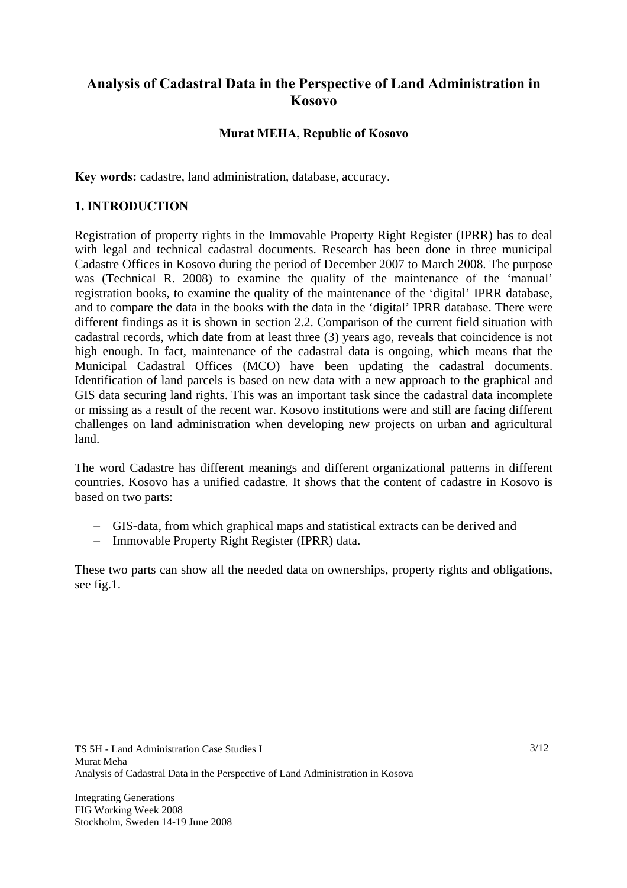# **Analysis of Cadastral Data in the Perspective of Land Administration in Kosovo**

## **Murat MEHA, Republic of Kosovo**

**Key words:** cadastre, land administration, database, accuracy.

### **1. INTRODUCTION**

Registration of property rights in the Immovable Property Right Register (IPRR) has to deal with legal and technical cadastral documents. Research has been done in three municipal Cadastre Offices in Kosovo during the period of December 2007 to March 2008. The purpose was (Technical R. 2008) to examine the quality of the maintenance of the 'manual' registration books, to examine the quality of the maintenance of the 'digital' IPRR database, and to compare the data in the books with the data in the 'digital' IPRR database. There were different findings as it is shown in section 2.2. Comparison of the current field situation with cadastral records, which date from at least three (3) years ago, reveals that coincidence is not high enough. In fact, maintenance of the cadastral data is ongoing, which means that the Municipal Cadastral Offices (MCO) have been updating the cadastral documents. Identification of land parcels is based on new data with a new approach to the graphical and GIS data securing land rights. This was an important task since the cadastral data incomplete or missing as a result of the recent war. Kosovo institutions were and still are facing different challenges on land administration when developing new projects on urban and agricultural land.

The word Cadastre has different meanings and different organizational patterns in different countries. Kosovo has a unified cadastre. It shows that the content of cadastre in Kosovo is based on two parts:

- GIS-data, from which graphical maps and statistical extracts can be derived and
- Immovable Property Right Register (IPRR) data.

These two parts can show all the needed data on ownerships, property rights and obligations, see fig.1.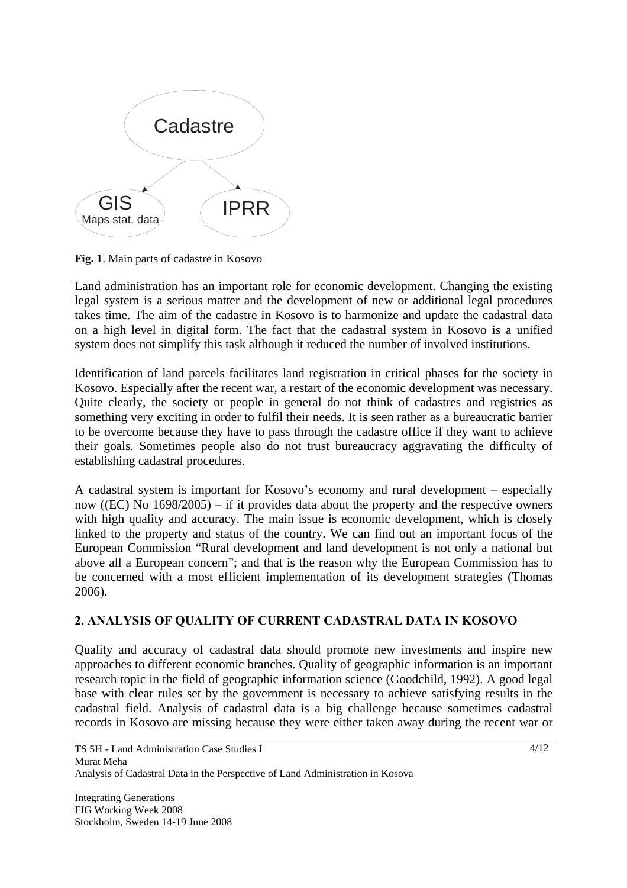

**Fig. 1**. Main parts of cadastre in Kosovo

Land administration has an important role for economic development. Changing the existing legal system is a serious matter and the development of new or additional legal procedures takes time. The aim of the cadastre in Kosovo is to harmonize and update the cadastral data on a high level in digital form. The fact that the cadastral system in Kosovo is a unified system does not simplify this task although it reduced the number of involved institutions.

Identification of land parcels facilitates land registration in critical phases for the society in Kosovo. Especially after the recent war, a restart of the economic development was necessary. Quite clearly, the society or people in general do not think of cadastres and registries as something very exciting in order to fulfil their needs. It is seen rather as a bureaucratic barrier to be overcome because they have to pass through the cadastre office if they want to achieve their goals. Sometimes people also do not trust bureaucracy aggravating the difficulty of establishing cadastral procedures.

A cadastral system is important for Kosovo's economy and rural development – especially now ((EC) No 1698/2005) – if it provides data about the property and the respective owners with high quality and accuracy. The main issue is economic development, which is closely linked to the property and status of the country. We can find out an important focus of the European Commission "Rural development and land development is not only a national but above all a European concern"; and that is the reason why the European Commission has to be concerned with a most efficient implementation of its development strategies (Thomas 2006).

### **2. ANALYSIS OF QUALITY OF CURRENT CADASTRAL DATA IN KOSOVO**

Quality and accuracy of cadastral data should promote new investments and inspire new approaches to different economic branches. Quality of geographic information is an important research topic in the field of geographic information science (Goodchild, 1992). A good legal base with clear rules set by the government is necessary to achieve satisfying results in the cadastral field. Analysis of cadastral data is a big challenge because sometimes cadastral records in Kosovo are missing because they were either taken away during the recent war or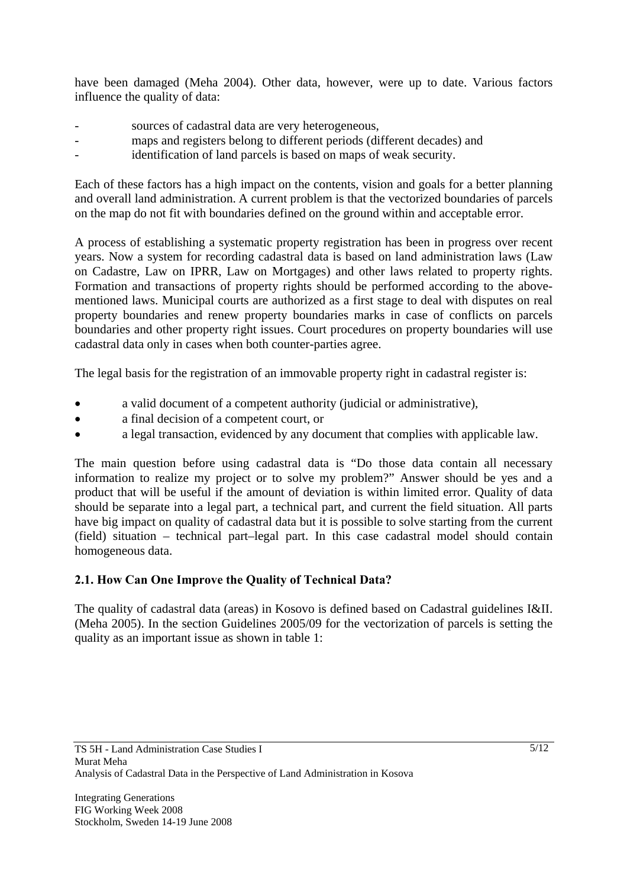have been damaged (Meha 2004). Other data, however, were up to date. Various factors influence the quality of data:

- sources of cadastral data are very heterogeneous,
- maps and registers belong to different periods (different decades) and
- identification of land parcels is based on maps of weak security.

Each of these factors has a high impact on the contents, vision and goals for a better planning and overall land administration. A current problem is that the vectorized boundaries of parcels on the map do not fit with boundaries defined on the ground within and acceptable error.

A process of establishing a systematic property registration has been in progress over recent years. Now a system for recording cadastral data is based on land administration laws (Law on Cadastre, Law on IPRR, Law on Mortgages) and other laws related to property rights. Formation and transactions of property rights should be performed according to the abovementioned laws. Municipal courts are authorized as a first stage to deal with disputes on real property boundaries and renew property boundaries marks in case of conflicts on parcels boundaries and other property right issues. Court procedures on property boundaries will use cadastral data only in cases when both counter-parties agree.

The legal basis for the registration of an immovable property right in cadastral register is:

- a valid document of a competent authority (judicial or administrative),
- a final decision of a competent court, or
- a legal transaction, evidenced by any document that complies with applicable law.

The main question before using cadastral data is "Do those data contain all necessary information to realize my project or to solve my problem?" Answer should be yes and a product that will be useful if the amount of deviation is within limited error. Quality of data should be separate into a legal part, a technical part, and current the field situation. All parts have big impact on quality of cadastral data but it is possible to solve starting from the current (field) situation – technical part–legal part. In this case cadastral model should contain homogeneous data.

## **2.1. How Can One Improve the Quality of Technical Data?**

The quality of cadastral data (areas) in Kosovo is defined based on Cadastral guidelines I&II. (Meha 2005). In the section Guidelines 2005/09 for the vectorization of parcels is setting the quality as an important issue as shown in table 1: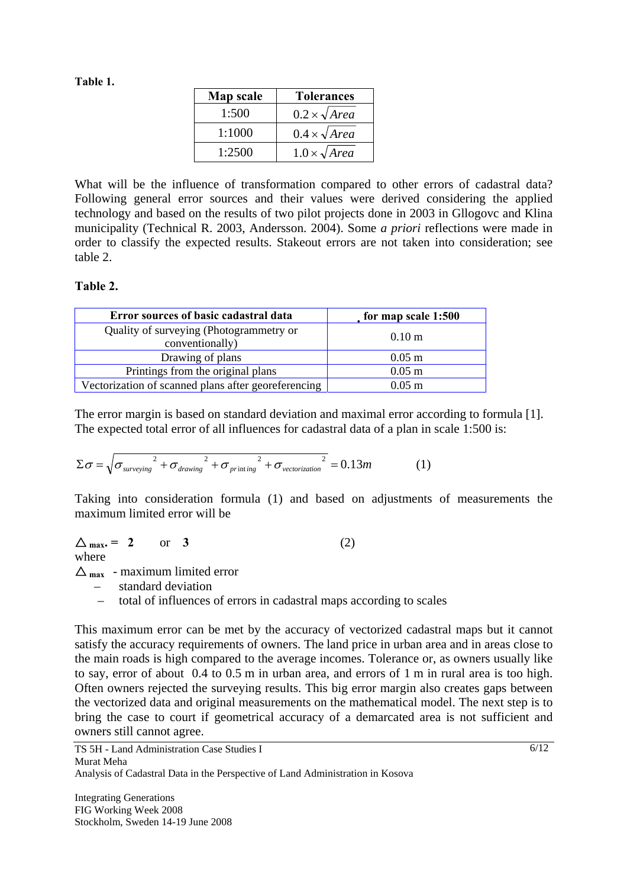### **Table 1.**

| Map scale | <b>Tolerances</b>        |
|-----------|--------------------------|
| 1:500     | $0.2 \times \sqrt{Area}$ |
| 1:1000    | $0.4 \times \sqrt{Area}$ |
| 1:2500    | $1.0 \times \sqrt{Area}$ |

What will be the influence of transformation compared to other errors of cadastral data? Following general error sources and their values were derived considering the applied technology and based on the results of two pilot projects done in 2003 in Gllogovc and Klina municipality (Technical R. 2003, Andersson. 2004). Some *a priori* reflections were made in order to classify the expected results. Stakeout errors are not taken into consideration; see table 2.

### **Table 2.**

| Error sources of basic cadastral data                      | for map scale 1:500 |
|------------------------------------------------------------|---------------------|
| Quality of surveying (Photogrammetry or<br>conventionally) | 0.10 <sub>m</sub>   |
| Drawing of plans                                           | $0.05$ m            |
| Printings from the original plans                          | $0.05$ m            |
| Vectorization of scanned plans after georeferencing        | $0.05$ m            |

The error margin is based on standard deviation and maximal error according to formula [1]. The expected total error of all influences for cadastral data of a plan in scale 1:500 is:

$$
\Sigma \sigma = \sqrt{\sigma_{\text{surveying}}^2 + \sigma_{\text{drawing}}^2 + \sigma_{\text{printing}}^2 + \sigma_{\text{vectorization}}^2} = 0.13m \tag{1}
$$

Taking into consideration formula (1) and based on adjustments of measurements the maximum limited error will be

 $\Delta_{\text{max}} = 2 \quad \text{or} \quad 3$  (2) where

 $\Delta_{\text{max}}$  - maximum limited error

– standard deviation

– total of influences of errors in cadastral maps according to scales

This maximum error can be met by the accuracy of vectorized cadastral maps but it cannot satisfy the accuracy requirements of owners. The land price in urban area and in areas close to the main roads is high compared to the average incomes. Tolerance or, as owners usually like to say, error of about 0.4 to 0.5 m in urban area, and errors of 1 m in rural area is too high. Often owners rejected the surveying results. This big error margin also creates gaps between the vectorized data and original measurements on the mathematical model. The next step is to bring the case to court if geometrical accuracy of a demarcated area is not sufficient and owners still cannot agree.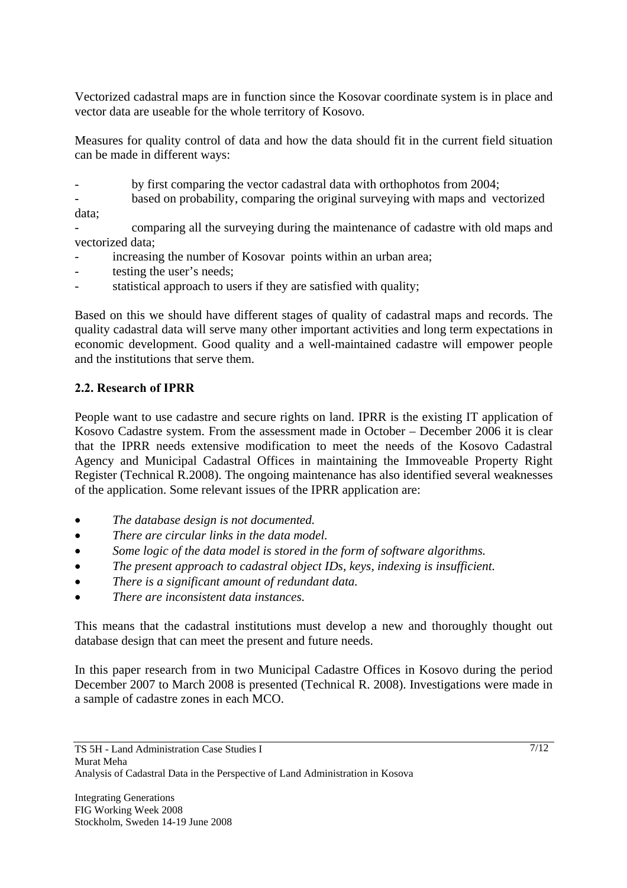Vectorized cadastral maps are in function since the Kosovar coordinate system is in place and vector data are useable for the whole territory of Kosovo.

Measures for quality control of data and how the data should fit in the current field situation can be made in different ways:

by first comparing the vector cadastral data with orthophotos from 2004;

based on probability, comparing the original surveying with maps and vectorized data;

- comparing all the surveying during the maintenance of cadastre with old maps and vectorized data;

- increasing the number of Kosovar points within an urban area;
- testing the user's needs;
- statistical approach to users if they are satisfied with quality;

Based on this we should have different stages of quality of cadastral maps and records. The quality cadastral data will serve many other important activities and long term expectations in economic development. Good quality and a well-maintained cadastre will empower people and the institutions that serve them.

### **2.2. Research of IPRR**

People want to use cadastre and secure rights on land. IPRR is the existing IT application of Kosovo Cadastre system. From the assessment made in October – December 2006 it is clear that the IPRR needs extensive modification to meet the needs of the Kosovo Cadastral Agency and Municipal Cadastral Offices in maintaining the Immoveable Property Right Register (Technical R.2008). The ongoing maintenance has also identified several weaknesses of the application. Some relevant issues of the IPRR application are:

- *The database design is not documented.*
- *There are circular links in the data model.*
- *Some logic of the data model is stored in the form of software algorithms.*
- *The present approach to cadastral object IDs, keys, indexing is insufficient.*
- *There is a significant amount of redundant data.*
- *There are inconsistent data instances.*

This means that the cadastral institutions must develop a new and thoroughly thought out database design that can meet the present and future needs.

In this paper research from in two Municipal Cadastre Offices in Kosovo during the period December 2007 to March 2008 is presented (Technical R. 2008). Investigations were made in a sample of cadastre zones in each MCO.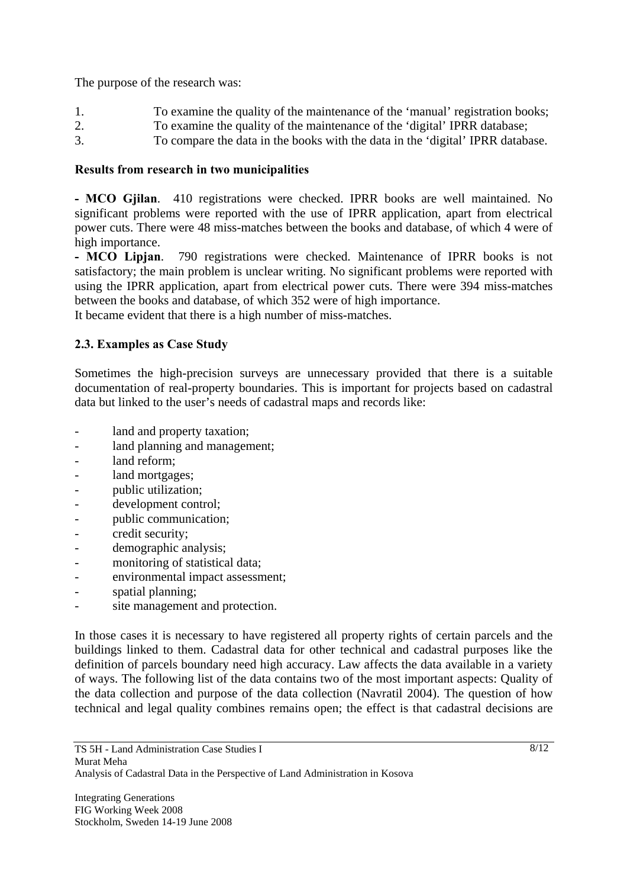The purpose of the research was:

- 1. To examine the quality of the maintenance of the 'manual' registration books;
- 2. To examine the quality of the maintenance of the 'digital' IPRR database;
- 3. To compare the data in the books with the data in the 'digital' IPRR database.

## **Results from research in two municipalities**

**- MCO Gjilan**. 410 registrations were checked. IPRR books are well maintained. No significant problems were reported with the use of IPRR application, apart from electrical power cuts. There were 48 miss-matches between the books and database, of which 4 were of high importance.

**- MCO Lipjan**. 790 registrations were checked. Maintenance of IPRR books is not satisfactory; the main problem is unclear writing. No significant problems were reported with using the IPRR application, apart from electrical power cuts. There were 394 miss-matches between the books and database, of which 352 were of high importance.

It became evident that there is a high number of miss-matches.

# **2.3. Examples as Case Study**

Sometimes the high-precision surveys are unnecessary provided that there is a suitable documentation of real-property boundaries. This is important for projects based on cadastral data but linked to the user's needs of cadastral maps and records like:

- land and property taxation;
- land planning and management;
- land reform:
- land mortgages;
- public utilization;
- development control;
- public communication;
- credit security;
- demographic analysis;
- monitoring of statistical data;
- environmental impact assessment;
- spatial planning;
- site management and protection.

In those cases it is necessary to have registered all property rights of certain parcels and the buildings linked to them. Cadastral data for other technical and cadastral purposes like the definition of parcels boundary need high accuracy. Law affects the data available in a variety of ways. The following list of the data contains two of the most important aspects: Quality of the data collection and purpose of the data collection (Navratil 2004). The question of how technical and legal quality combines remains open; the effect is that cadastral decisions are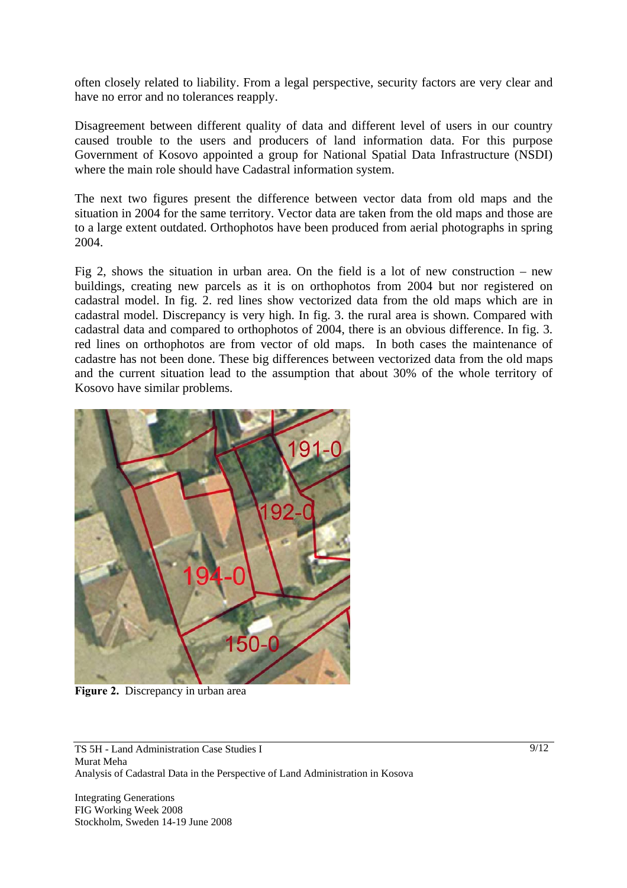often closely related to liability. From a legal perspective, security factors are very clear and have no error and no tolerances reapply.

Disagreement between different quality of data and different level of users in our country caused trouble to the users and producers of land information data. For this purpose Government of Kosovo appointed a group for National Spatial Data Infrastructure (NSDI) where the main role should have Cadastral information system.

The next two figures present the difference between vector data from old maps and the situation in 2004 for the same territory. Vector data are taken from the old maps and those are to a large extent outdated. Orthophotos have been produced from aerial photographs in spring 2004.

Fig 2, shows the situation in urban area. On the field is a lot of new construction – new buildings, creating new parcels as it is on orthophotos from 2004 but nor registered on cadastral model. In fig. 2. red lines show vectorized data from the old maps which are in cadastral model. Discrepancy is very high. In fig. 3. the rural area is shown. Compared with cadastral data and compared to orthophotos of 2004, there is an obvious difference. In fig. 3. red lines on orthophotos are from vector of old maps. In both cases the maintenance of cadastre has not been done. These big differences between vectorized data from the old maps and the current situation lead to the assumption that about 30% of the whole territory of Kosovo have similar problems.



**Figure 2.** Discrepancy in urban area

TS 5H - Land Administration Case Studies I Murat Meha Analysis of Cadastral Data in the Perspective of Land Administration in Kosova

Integrating Generations FIG Working Week 2008 Stockholm, Sweden 14-19 June 2008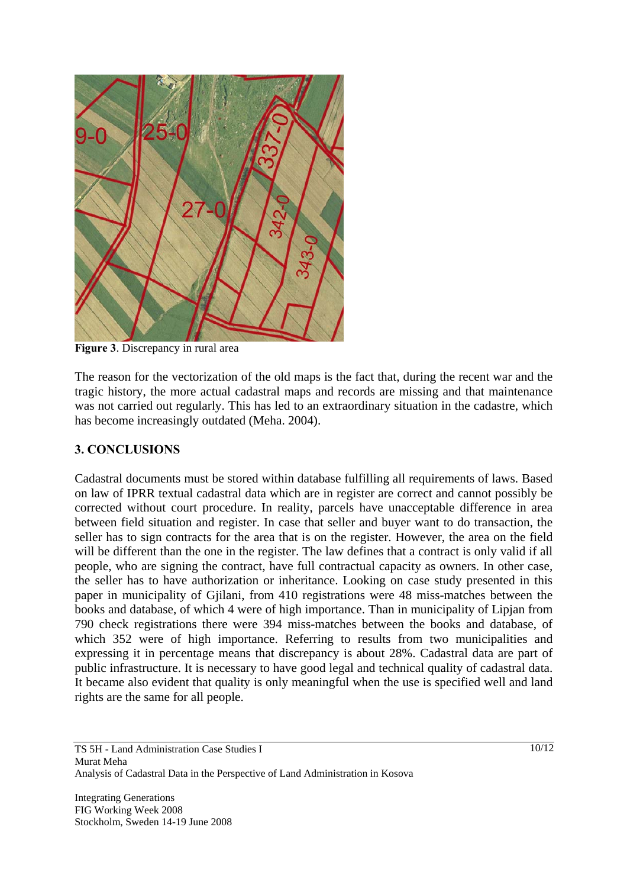

**Figure 3**. Discrepancy in rural area

The reason for the vectorization of the old maps is the fact that, during the recent war and the tragic history, the more actual cadastral maps and records are missing and that maintenance was not carried out regularly. This has led to an extraordinary situation in the cadastre, which has become increasingly outdated (Meha. 2004).

### **3. CONCLUSIONS**

Cadastral documents must be stored within database fulfilling all requirements of laws. Based on law of IPRR textual cadastral data which are in register are correct and cannot possibly be corrected without court procedure. In reality, parcels have unacceptable difference in area between field situation and register. In case that seller and buyer want to do transaction, the seller has to sign contracts for the area that is on the register. However, the area on the field will be different than the one in the register. The law defines that a contract is only valid if all people, who are signing the contract, have full contractual capacity as owners. In other case, the seller has to have authorization or inheritance. Looking on case study presented in this paper in municipality of Gjilani, from 410 registrations were 48 miss-matches between the books and database, of which 4 were of high importance. Than in municipality of Lipjan from 790 check registrations there were 394 miss-matches between the books and database, of which 352 were of high importance. Referring to results from two municipalities and expressing it in percentage means that discrepancy is about 28%. Cadastral data are part of public infrastructure. It is necessary to have good legal and technical quality of cadastral data. It became also evident that quality is only meaningful when the use is specified well and land rights are the same for all people.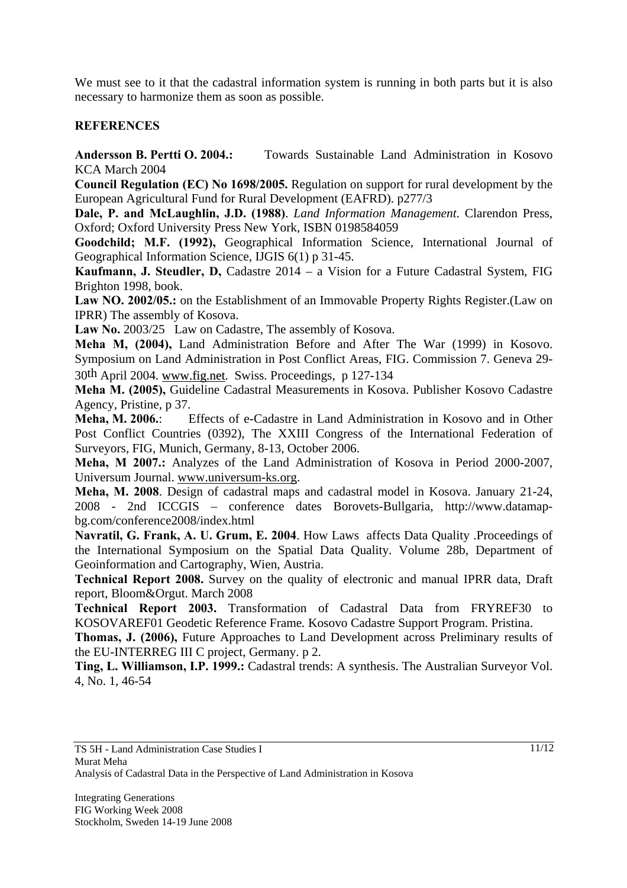We must see to it that the cadastral information system is running in both parts but it is also necessary to harmonize them as soon as possible.

### **REFERENCES**

**Andersson B. Pertti O. 2004.:** Towards Sustainable Land Administration in Kosovo KCA March 2004

**Council Regulation (EC) No 1698/2005.** Regulation on support for rural development by the European Agricultural Fund for Rural Development (EAFRD). p277/3

**Dale, P. and McLaughlin, J.D. (1988)**. *Land Information Management*. Clarendon Press, Oxford; Oxford University Press New York, ISBN 0198584059

**Goodchild; M.F. (1992),** Geographical Information Science, International Journal of Geographical Information Science, IJGIS 6(1) p 31-45.

**Kaufmann, J. Steudler, D,** Cadastre 2014 – a Vision for a Future Cadastral System, FIG Brighton 1998, book.

**Law NO. 2002/05.:** on the Establishment of an Immovable Property Rights Register.(Law on IPRR) The assembly of Kosova.

Law No. 2003/25 Law on Cadastre, The assembly of Kosova.

**Meha M, (2004),** Land Administration Before and After The War (1999) in Kosovo. Symposium on Land Administration in Post Conflict Areas, FIG. Commission 7. Geneva 29- 30th April 2004. www.fig.net. Swiss. Proceedings, p 127-134

**Meha M. (2005),** Guideline Cadastral Measurements in Kosova. Publisher Kosovo Cadastre Agency, Pristine, p 37.

**Meha, M. 2006.**: Effects of e-Cadastre in Land Administration in Kosovo and in Other Post Conflict Countries (0392), The XXIII Congress of the International Federation of Surveyors, FIG, Munich, Germany, 8-13, October 2006.

**Meha, M 2007.:** Analyzes of the Land Administration of Kosova in Period 2000-2007, Universum Journal. www.universum-ks.org.

**Meha, M. 2008**. Design of cadastral maps and cadastral model in Kosova. January 21-24, 2008 - 2nd ICCGIS – conference dates Borovets-Bullgaria, http://www.datamapbg.com/conference2008/index.html

**Navratil, G. Frank, A. U. Grum, E. 2004**. How Lawsaffects Data Quality .Proceedings of the International Symposium on the Spatial Data Quality. Volume 28b, Department of Geoinformation and Cartography, Wien, Austria.

**Technical Report 2008.** Survey on the quality of electronic and manual IPRR data, Draft report, Bloom&Orgut. March 2008

**Technical Report 2003.** Transformation of Cadastral Data from FRYREF30 to KOSOVAREF01 Geodetic Reference Frame*.* Kosovo Cadastre Support Program. Pristina.

**Thomas, J. (2006),** Future Approaches to Land Development across Preliminary results of the EU-INTERREG III C project, Germany. p 2.

**Ting, L. Williamson, I.P. 1999.:** Cadastral trends: A synthesis. The Australian Surveyor Vol. 4, No. 1, 46-54